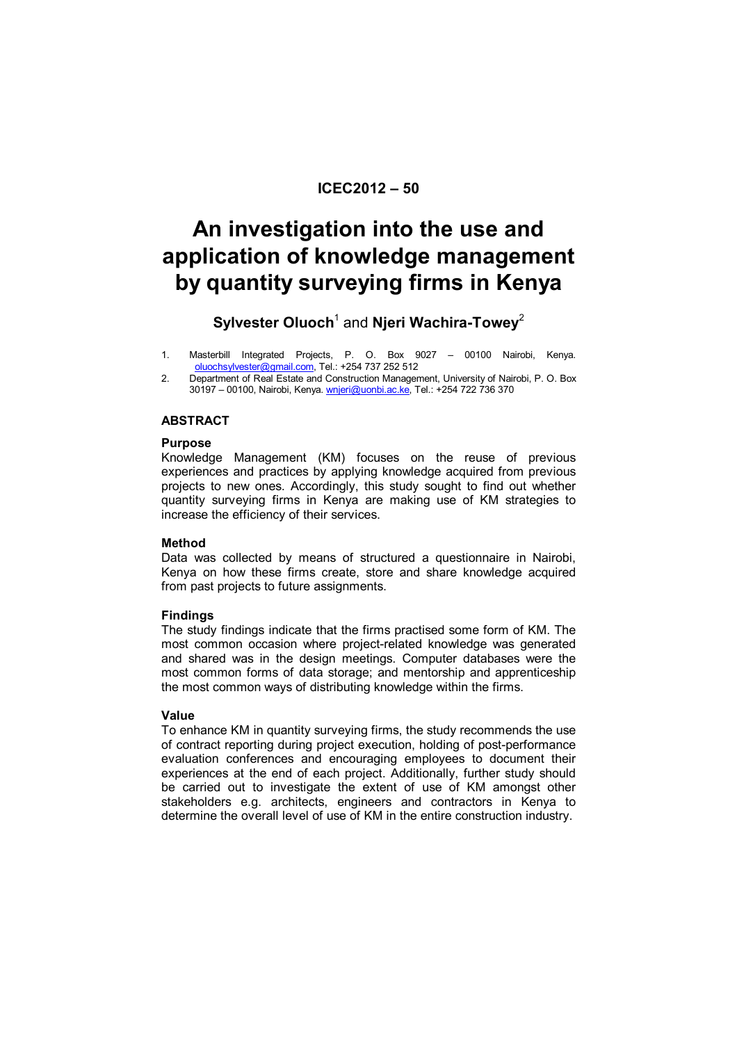# **ICEC2012 – 50**

# **An investigation into the use and application of knowledge management by quantity surveying firms in Kenya**

# $\mathsf{Sylvester}\ \mathsf{Oluoch}^1$  and **Njeri Wachira-Towey** $^2$

- 1. Masterbill Integrated Projects, P. O. Box 9027 00100 Nairobi, Kenya. oluochsylvester@gmail.com, Tel.: +254 737 252 512
- 2. Department of Real Estate and Construction Management, University of Nairobi, P. O. Box 30197 - 00100, Nairobi, Kenya. wnjeri@uonbi.ac.ke, Tel.: +254 722 736 370

# **ABSTRACT**

# **Purpose**

Knowledge Management (KM) focuses on the reuse of previous experiences and practices by applying knowledge acquired from previous projects to new ones. Accordingly, this study sought to find out whether quantity surveying firms in Kenya are making use of KM strategies to increase the efficiency of their services.

# **Method**

Data was collected by means of structured a questionnaire in Nairobi, Kenya on how these firms create, store and share knowledge acquired from past projects to future assignments.

# **Findings**

The study findings indicate that the firms practised some form of KM. The most common occasion where project-related knowledge was generated and shared was in the design meetings. Computer databases were the most common forms of data storage; and mentorship and apprenticeship the most common ways of distributing knowledge within the firms.

# **Value**

To enhance KM in quantity surveying firms, the study recommends the use of contract reporting during project execution, holding of post-performance evaluation conferences and encouraging employees to document their experiences at the end of each project. Additionally, further study should be carried out to investigate the extent of use of KM amongst other stakeholders e.g. architects, engineers and contractors in Kenya to determine the overall level of use of KM in the entire construction industry.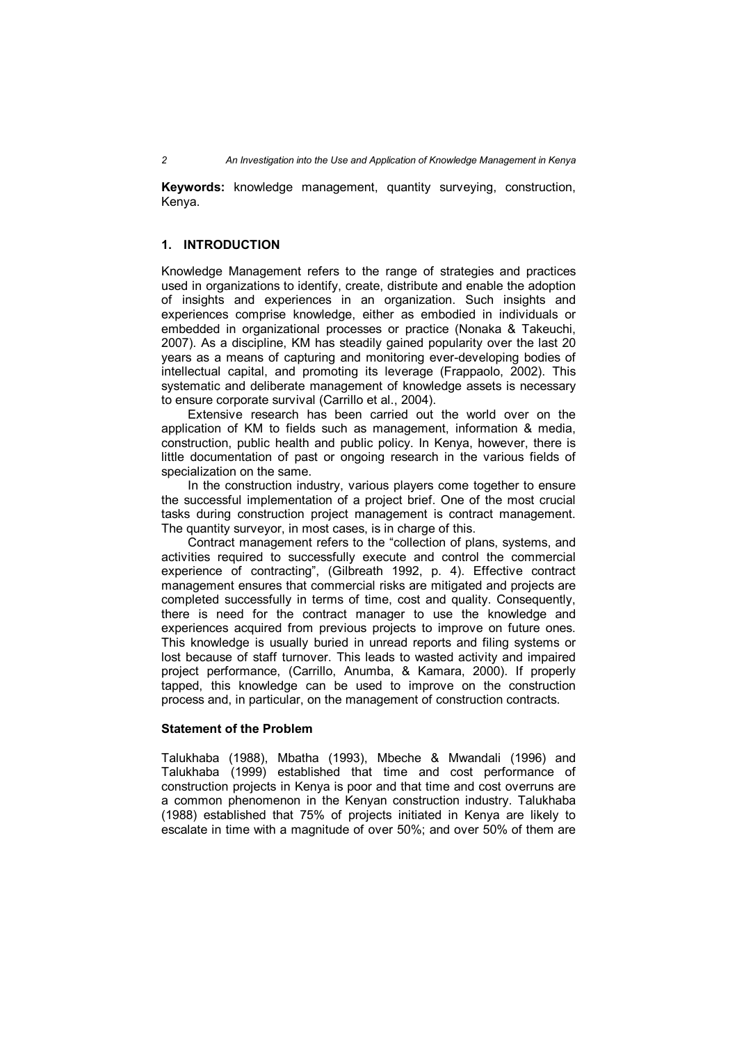**Keywords:** knowledge management, quantity surveying, construction, Kenya.

# **1. INTRODUCTION**

Knowledge Management refers to the range of strategies and practices used in organizations to identify, create, distribute and enable the adoption of insights and experiences in an organization. Such insights and experiences comprise knowledge, either as embodied in individuals or embedded in organizational processes or practice (Nonaka & Takeuchi, 2007). As a discipline, KM has steadily gained popularity over the last 20 years as a means of capturing and monitoring ever-developing bodies of intellectual capital, and promoting its leverage (Frappaolo, 2002). This systematic and deliberate management of knowledge assets is necessary to ensure corporate survival (Carrillo et al., 2004).

Extensive research has been carried out the world over on the application of KM to fields such as management, information & media, construction, public health and public policy. In Kenya, however, there is little documentation of past or ongoing research in the various fields of specialization on the same.

In the construction industry, various players come together to ensure the successful implementation of a project brief. One of the most crucial tasks during construction project management is contract management. The quantity surveyor, in most cases, is in charge of this.

Contract management refers to the "collection of plans, systems, and activities required to successfully execute and control the commercial experience of contracting", (Gilbreath 1992, p. 4). Effective contract management ensures that commercial risks are mitigated and projects are completed successfully in terms of time, cost and quality. Consequently, there is need for the contract manager to use the knowledge and experiences acquired from previous projects to improve on future ones. This knowledge is usually buried in unread reports and filing systems or lost because of staff turnover. This leads to wasted activity and impaired project performance, (Carrillo, Anumba, & Kamara, 2000). If properly tapped, this knowledge can be used to improve on the construction process and, in particular, on the management of construction contracts.

### **Statement of the Problem**

Talukhaba (1988), Mbatha (1993), Mbeche & Mwandali (1996) and Talukhaba (1999) established that time and cost performance of construction projects in Kenya is poor and that time and cost overruns are a common phenomenon in the Kenyan construction industry. Talukhaba (1988) established that 75% of projects initiated in Kenya are likely to escalate in time with a magnitude of over 50%; and over 50% of them are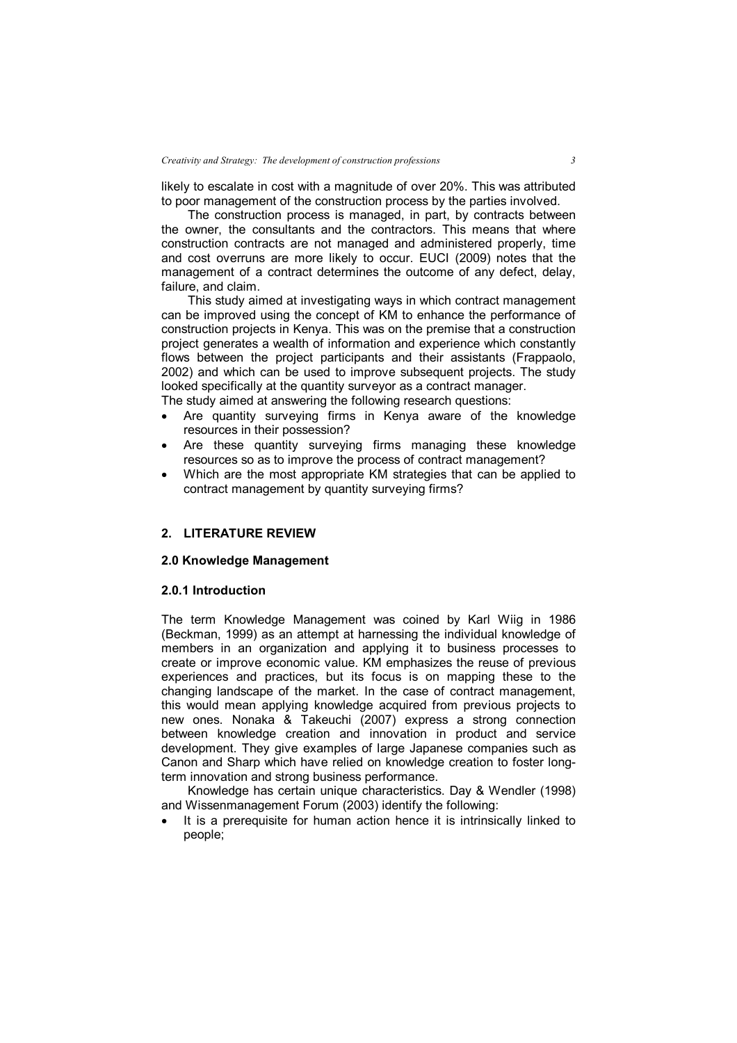likely to escalate in cost with a magnitude of over 20%. This was attributed to poor management of the construction process by the parties involved.

The construction process is managed, in part, by contracts between the owner, the consultants and the contractors. This means that where construction contracts are not managed and administered properly, time and cost overruns are more likely to occur. EUCI (2009) notes that the management of a contract determines the outcome of any defect, delay, failure, and claim.

This study aimed at investigating ways in which contract management can be improved using the concept of KM to enhance the performance of construction projects in Kenya. This was on the premise that a construction project generates a wealth of information and experience which constantly flows between the project participants and their assistants (Frappaolo, 2002) and which can be used to improve subsequent projects. The study looked specifically at the quantity surveyor as a contract manager.

The study aimed at answering the following research questions:

- Are quantity surveying firms in Kenya aware of the knowledge resources in their possession?
- Are these quantity surveying firms managing these knowledge resources so as to improve the process of contract management?
- Which are the most appropriate KM strategies that can be applied to contract management by quantity surveying firms?

# **2. LITERATURE REVIEW**

# **2.0 Knowledge Management**

# **2.0.1 Introduction**

The term Knowledge Management was coined by Karl Wiig in 1986 (Beckman, 1999) as an attempt at harnessing the individual knowledge of members in an organization and applying it to business processes to create or improve economic value. KM emphasizes the reuse of previous experiences and practices, but its focus is on mapping these to the changing landscape of the market. In the case of contract management, this would mean applying knowledge acquired from previous projects to new ones. Nonaka & Takeuchi (2007) express a strong connection between knowledge creation and innovation in product and service development. They give examples of large Japanese companies such as Canon and Sharp which have relied on knowledge creation to foster longterm innovation and strong business performance.

Knowledge has certain unique characteristics. Day & Wendler (1998) and Wissenmanagement Forum (2003) identify the following:

 It is a prerequisite for human action hence it is intrinsically linked to people;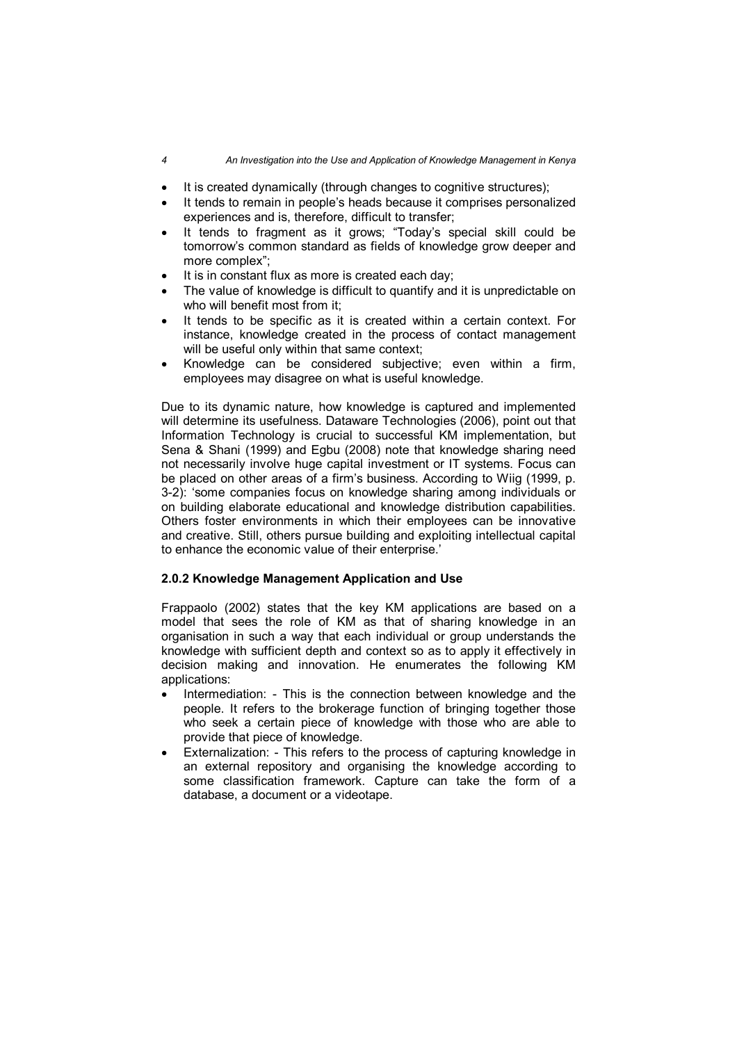- It is created dynamically (through changes to cognitive structures);
- It tends to remain in people's heads because it comprises personalized experiences and is, therefore, difficult to transfer;
- It tends to fragment as it grows; "Today's special skill could be tomorrow's common standard as fields of knowledge grow deeper and more complex";
- It is in constant flux as more is created each day;
- The value of knowledge is difficult to quantify and it is unpredictable on who will benefit most from it;
- It tends to be specific as it is created within a certain context. For instance, knowledge created in the process of contact management will be useful only within that same context:
- Knowledge can be considered subjective; even within a firm, employees may disagree on what is useful knowledge.

Due to its dynamic nature, how knowledge is captured and implemented will determine its usefulness. Dataware Technologies (2006), point out that Information Technology is crucial to successful KM implementation, but Sena & Shani (1999) and Egbu (2008) note that knowledge sharing need not necessarily involve huge capital investment or IT systems. Focus can be placed on other areas of a firm's business. According to Wiig (1999, p. 3-2): 'some companies focus on knowledge sharing among individuals or on building elaborate educational and knowledge distribution capabilities. Others foster environments in which their employees can be innovative and creative. Still, others pursue building and exploiting intellectual capital to enhance the economic value of their enterprise.'

# **2.0.2 Knowledge Management Application and Use**

Frappaolo (2002) states that the key KM applications are based on a model that sees the role of KM as that of sharing knowledge in an organisation in such a way that each individual or group understands the knowledge with sufficient depth and context so as to apply it effectively in decision making and innovation. He enumerates the following KM applications:

- Intermediation: This is the connection between knowledge and the people. It refers to the brokerage function of bringing together those who seek a certain piece of knowledge with those who are able to provide that piece of knowledge.
- Externalization: This refers to the process of capturing knowledge in an external repository and organising the knowledge according to some classification framework. Capture can take the form of a database, a document or a videotape.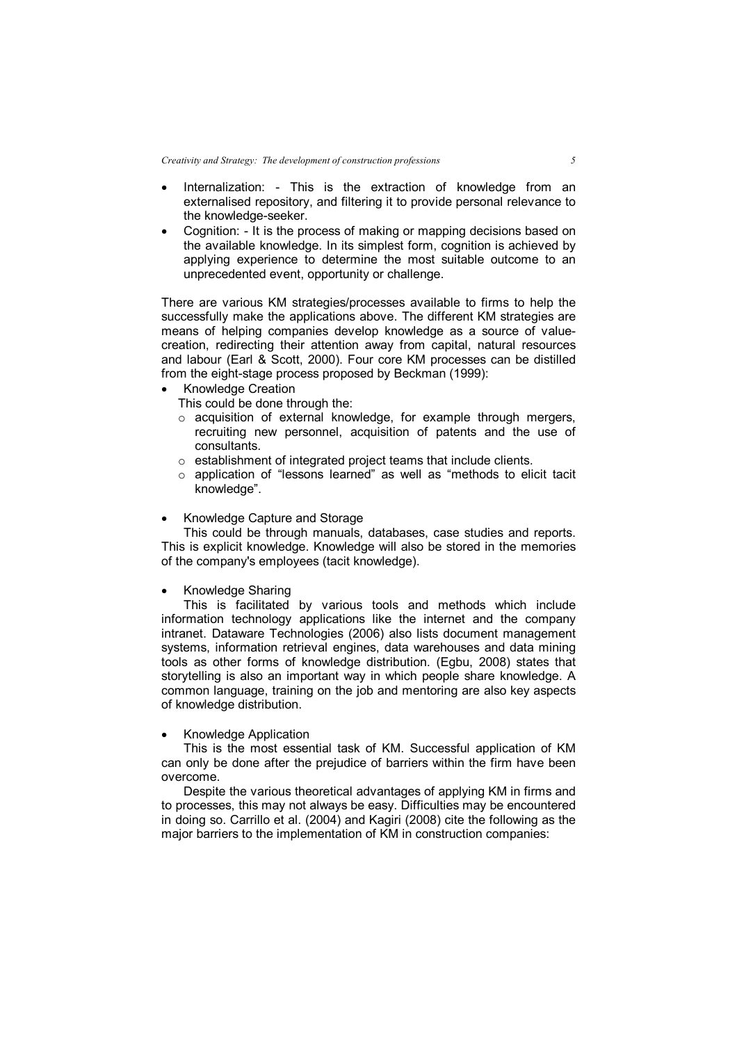*Creativity and Strategy: The development of construction professions 5*

- Internalization: This is the extraction of knowledge from an externalised repository, and filtering it to provide personal relevance to the knowledge-seeker.
- Cognition: It is the process of making or mapping decisions based on the available knowledge. In its simplest form, cognition is achieved by applying experience to determine the most suitable outcome to an unprecedented event, opportunity or challenge.

There are various KM strategies/processes available to firms to help the successfully make the applications above. The different KM strategies are means of helping companies develop knowledge as a source of valuecreation, redirecting their attention away from capital, natural resources and labour (Earl & Scott, 2000). Four core KM processes can be distilled from the eight-stage process proposed by Beckman (1999):

- Knowledge Creation
	- This could be done through the:
	- $\circ$  acquisition of external knowledge, for example through mergers, recruiting new personnel, acquisition of patents and the use of consultants.
	- o establishment of integrated project teams that include clients.
	- o application of "lessons learned" as well as "methods to elicit tacit knowledge".

#### Knowledge Capture and Storage

This could be through manuals, databases, case studies and reports. This is explicit knowledge. Knowledge will also be stored in the memories of the company's employees (tacit knowledge).

# Knowledge Sharing

This is facilitated by various tools and methods which include information technology applications like the internet and the company intranet. Dataware Technologies (2006) also lists document management systems, information retrieval engines, data warehouses and data mining tools as other forms of knowledge distribution. (Egbu, 2008) states that storytelling is also an important way in which people share knowledge. A common language, training on the job and mentoring are also key aspects of knowledge distribution.

#### Knowledge Application

This is the most essential task of KM. Successful application of KM can only be done after the prejudice of barriers within the firm have been overcome.

Despite the various theoretical advantages of applying KM in firms and to processes, this may not always be easy. Difficulties may be encountered in doing so. Carrillo et al. (2004) and Kagiri (2008) cite the following as the major barriers to the implementation of KM in construction companies: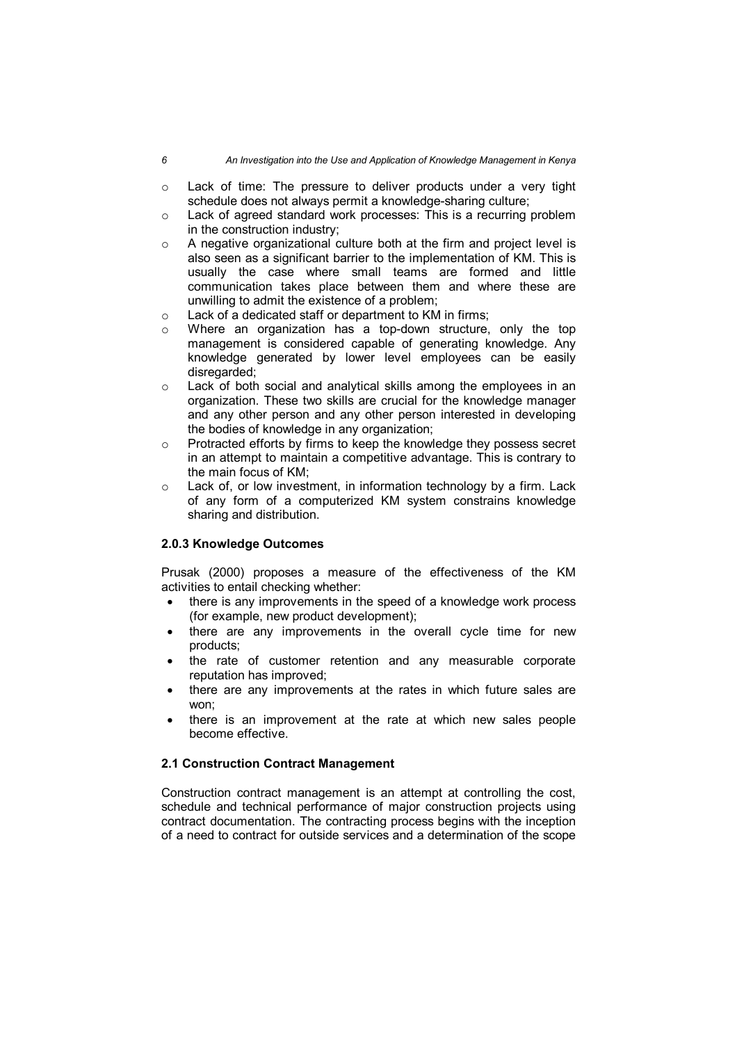- $\circ$  Lack of time: The pressure to deliver products under a very tight schedule does not always permit a knowledge-sharing culture;
- $\circ$  Lack of agreed standard work processes: This is a recurring problem in the construction industry;
- $\circ$  A negative organizational culture both at the firm and project level is also seen as a significant barrier to the implementation of KM. This is usually the case where small teams are formed and little communication takes place between them and where these are unwilling to admit the existence of a problem;
- o Lack of a dedicated staff or department to KM in firms;
- Where an organization has a top-down structure, only the top management is considered capable of generating knowledge. Any knowledge generated by lower level employees can be easily disregarded;
- o Lack of both social and analytical skills among the employees in an organization. These two skills are crucial for the knowledge manager and any other person and any other person interested in developing the bodies of knowledge in any organization;
- o Protracted efforts by firms to keep the knowledge they possess secret in an attempt to maintain a competitive advantage. This is contrary to the main focus of KM;
- o Lack of, or low investment, in information technology by a firm. Lack of any form of a computerized KM system constrains knowledge sharing and distribution.

# **2.0.3 Knowledge Outcomes**

Prusak (2000) proposes a measure of the effectiveness of the KM activities to entail checking whether:

- there is any improvements in the speed of a knowledge work process (for example, new product development);
- there are any improvements in the overall cycle time for new products;
- the rate of customer retention and any measurable corporate reputation has improved;
- there are any improvements at the rates in which future sales are won;
- there is an improvement at the rate at which new sales people become effective.

# **2.1 Construction Contract Management**

Construction contract management is an attempt at controlling the cost, schedule and technical performance of major construction projects using contract documentation. The contracting process begins with the inception of a need to contract for outside services and a determination of the scope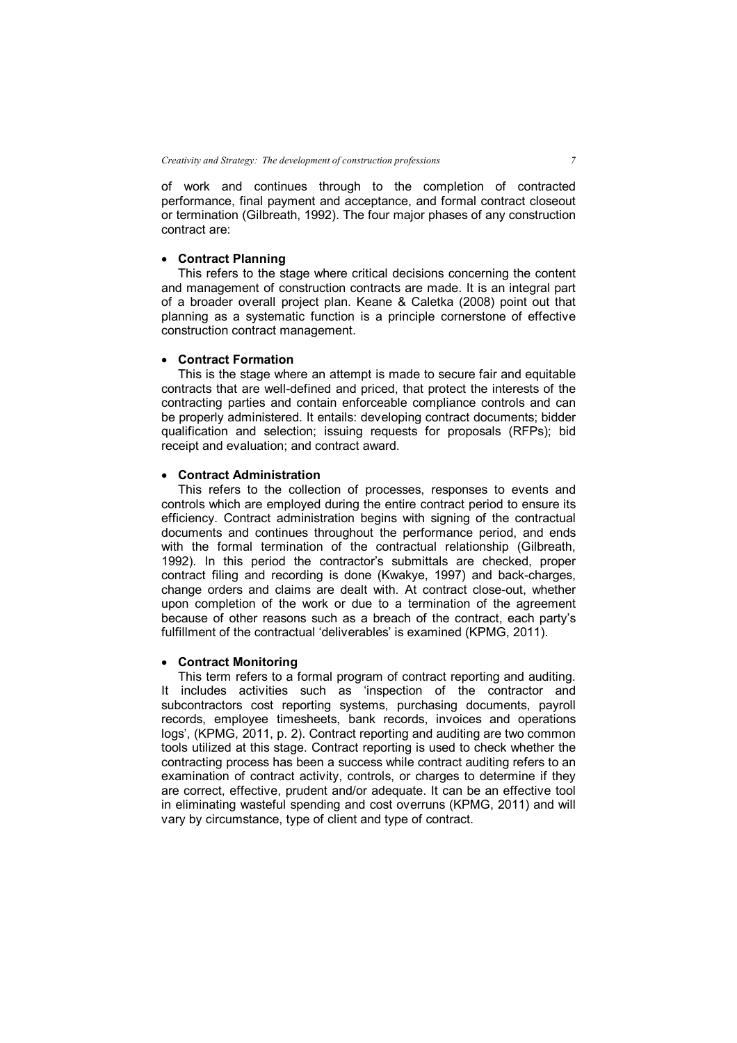of work and continues through to the completion of contracted performance, final payment and acceptance, and formal contract closeout or termination (Gilbreath, 1992). The four major phases of any construction contract are:

# **Contract Planning**

This refers to the stage where critical decisions concerning the content and management of construction contracts are made. It is an integral part of a broader overall project plan. Keane & Caletka (2008) point out that planning as a systematic function is a principle cornerstone of effective construction contract management.

### **Contract Formation**

This is the stage where an attempt is made to secure fair and equitable contracts that are well-defined and priced, that protect the interests of the contracting parties and contain enforceable compliance controls and can be properly administered. It entails: developing contract documents; bidder qualification and selection; issuing requests for proposals (RFPs); bid receipt and evaluation; and contract award.

# **Contract Administration**

This refers to the collection of processes, responses to events and controls which are employed during the entire contract period to ensure its efficiency. Contract administration begins with signing of the contractual documents and continues throughout the performance period, and ends with the formal termination of the contractual relationship (Gilbreath, 1992). In this period the contractor's submittals are checked, proper contract filing and recording is done (Kwakye, 1997) and back-charges, change orders and claims are dealt with. At contract close-out, whether upon completion of the work or due to a termination of the agreement because of other reasons such as a breach of the contract, each party's fulfillment of the contractual 'deliverables' is examined (KPMG, 2011).

# **Contract Monitoring**

This term refers to a formal program of contract reporting and auditing. It includes activities such as 'inspection of the contractor and subcontractors cost reporting systems, purchasing documents, payroll records, employee timesheets, bank records, invoices and operations logs', (KPMG, 2011, p. 2). Contract reporting and auditing are two common tools utilized at this stage. Contract reporting is used to check whether the contracting process has been a success while contract auditing refers to an examination of contract activity, controls, or charges to determine if they are correct, effective, prudent and/or adequate. It can be an effective tool in eliminating wasteful spending and cost overruns (KPMG, 2011) and will vary by circumstance, type of client and type of contract.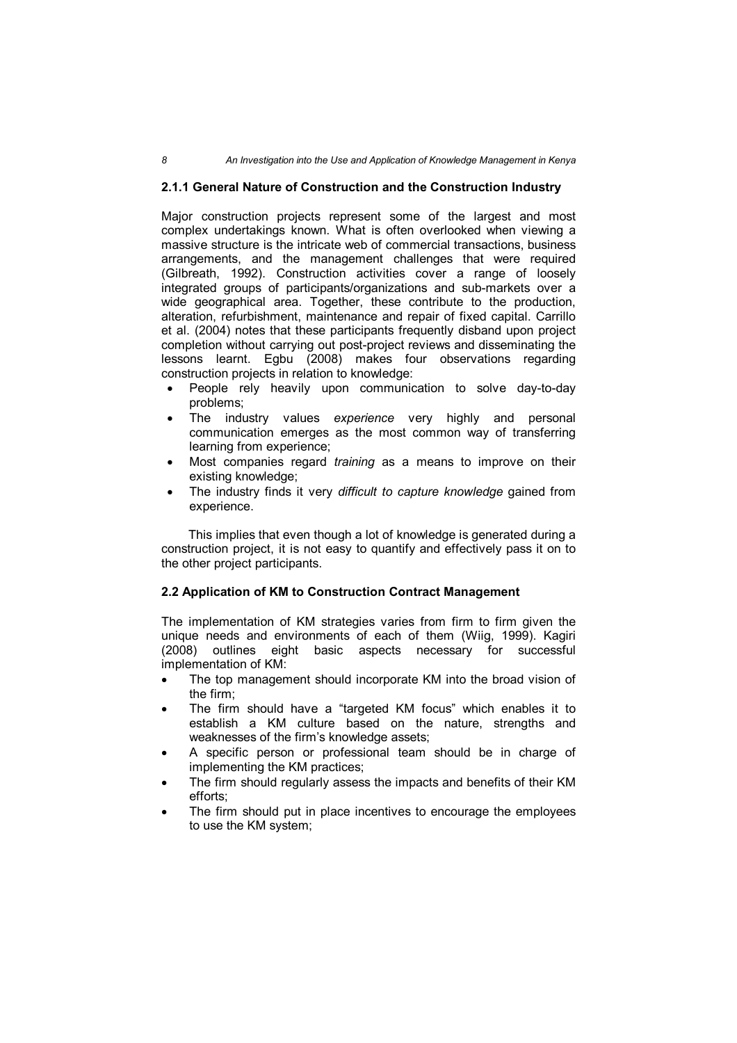#### *8 An Investigation into the Use and Application of Knowledge Management in Kenya*

# **2.1.1 General Nature of Construction and the Construction Industry**

Major construction projects represent some of the largest and most complex undertakings known. What is often overlooked when viewing a massive structure is the intricate web of commercial transactions, business arrangements, and the management challenges that were required (Gilbreath, 1992). Construction activities cover a range of loosely integrated groups of participants/organizations and sub-markets over a wide geographical area. Together, these contribute to the production, alteration, refurbishment, maintenance and repair of fixed capital. Carrillo et al. (2004) notes that these participants frequently disband upon project completion without carrying out post-project reviews and disseminating the lessons learnt. Egbu (2008) makes four observations regarding construction projects in relation to knowledge:

- People rely heavily upon communication to solve day-to-day problems;
- The industry values *experience* very highly and personal communication emerges as the most common way of transferring learning from experience;
- Most companies regard *training* as a means to improve on their existing knowledge;
- The industry finds it very *difficult to capture knowledge* gained from experience.

 This implies that even though a lot of knowledge is generated during a construction project, it is not easy to quantify and effectively pass it on to the other project participants.

# **2.2 Application of KM to Construction Contract Management**

The implementation of KM strategies varies from firm to firm given the unique needs and environments of each of them (Wiig, 1999). Kagiri (2008) outlines eight basic aspects necessary for successful implementation of KM:

- The top management should incorporate KM into the broad vision of the firm;
- The firm should have a "targeted KM focus" which enables it to establish a KM culture based on the nature, strengths and weaknesses of the firm's knowledge assets;
- A specific person or professional team should be in charge of implementing the KM practices;
- The firm should regularly assess the impacts and benefits of their KM efforts;
- The firm should put in place incentives to encourage the employees to use the KM system;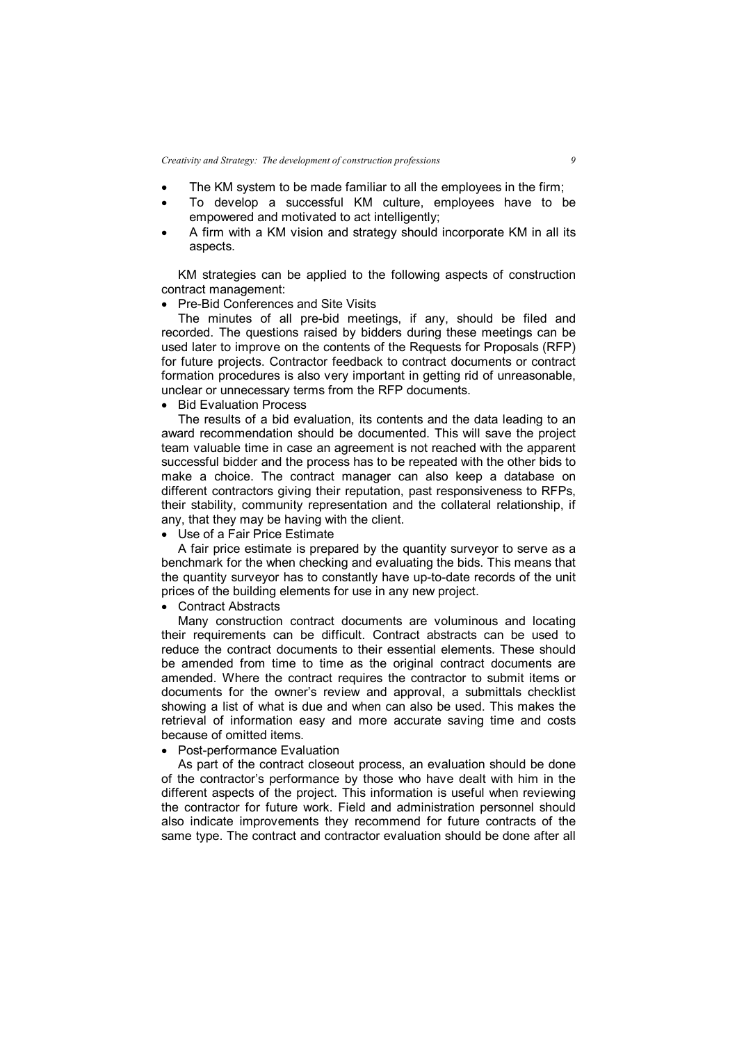*Creativity and Strategy: The development of construction professions 9*

- The KM system to be made familiar to all the employees in the firm;
- To develop a successful KM culture, employees have to be empowered and motivated to act intelligently;
- A firm with a KM vision and strategy should incorporate KM in all its aspects.

KM strategies can be applied to the following aspects of construction contract management:

Pre-Bid Conferences and Site Visits

The minutes of all pre-bid meetings, if any, should be filed and recorded. The questions raised by bidders during these meetings can be used later to improve on the contents of the Requests for Proposals (RFP) for future projects. Contractor feedback to contract documents or contract formation procedures is also very important in getting rid of unreasonable, unclear or unnecessary terms from the RFP documents.

• Bid Evaluation Process

The results of a bid evaluation, its contents and the data leading to an award recommendation should be documented. This will save the project team valuable time in case an agreement is not reached with the apparent successful bidder and the process has to be repeated with the other bids to make a choice. The contract manager can also keep a database on different contractors giving their reputation, past responsiveness to RFPs, their stability, community representation and the collateral relationship, if any, that they may be having with the client.

Use of a Fair Price Estimate

A fair price estimate is prepared by the quantity surveyor to serve as a benchmark for the when checking and evaluating the bids. This means that the quantity surveyor has to constantly have up-to-date records of the unit prices of the building elements for use in any new project.

• Contract Abstracts

Many construction contract documents are voluminous and locating their requirements can be difficult. Contract abstracts can be used to reduce the contract documents to their essential elements. These should be amended from time to time as the original contract documents are amended. Where the contract requires the contractor to submit items or documents for the owner's review and approval, a submittals checklist showing a list of what is due and when can also be used. This makes the retrieval of information easy and more accurate saving time and costs because of omitted items.

• Post-performance Evaluation

As part of the contract closeout process, an evaluation should be done of the contractor's performance by those who have dealt with him in the different aspects of the project. This information is useful when reviewing the contractor for future work. Field and administration personnel should also indicate improvements they recommend for future contracts of the same type. The contract and contractor evaluation should be done after all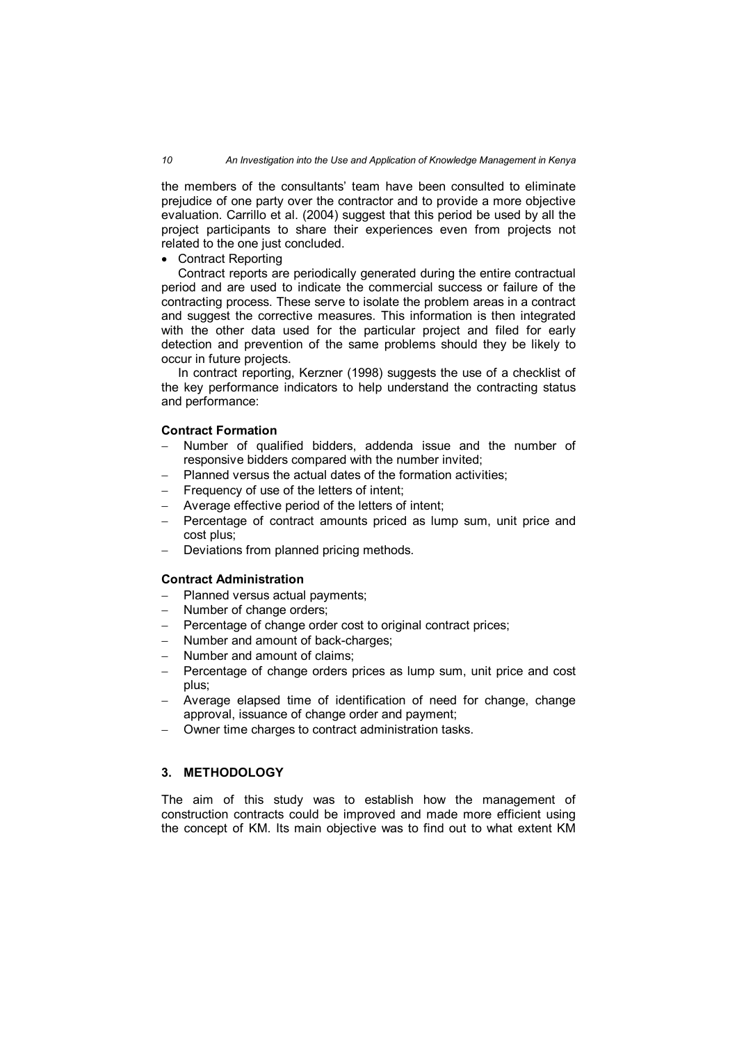the members of the consultants' team have been consulted to eliminate prejudice of one party over the contractor and to provide a more objective evaluation. Carrillo et al. (2004) suggest that this period be used by all the project participants to share their experiences even from projects not related to the one just concluded.

# • Contract Reporting

Contract reports are periodically generated during the entire contractual period and are used to indicate the commercial success or failure of the contracting process. These serve to isolate the problem areas in a contract and suggest the corrective measures. This information is then integrated with the other data used for the particular project and filed for early detection and prevention of the same problems should they be likely to occur in future projects.

In contract reporting, Kerzner (1998) suggests the use of a checklist of the key performance indicators to help understand the contracting status and performance:

# **Contract Formation**

- Number of qualified bidders, addenda issue and the number of responsive bidders compared with the number invited;
- Planned versus the actual dates of the formation activities;
- Frequency of use of the letters of intent;
- Average effective period of the letters of intent;
- Percentage of contract amounts priced as lump sum, unit price and cost plus;
- Deviations from planned pricing methods.

### **Contract Administration**

- Planned versus actual payments;
- Number of change orders;
- Percentage of change order cost to original contract prices;
- Number and amount of back-charges;
- Number and amount of claims;
- Percentage of change orders prices as lump sum, unit price and cost plus;
- Average elapsed time of identification of need for change, change approval, issuance of change order and payment;
- Owner time charges to contract administration tasks.

# **3. METHODOLOGY**

The aim of this study was to establish how the management of construction contracts could be improved and made more efficient using the concept of KM. Its main objective was to find out to what extent KM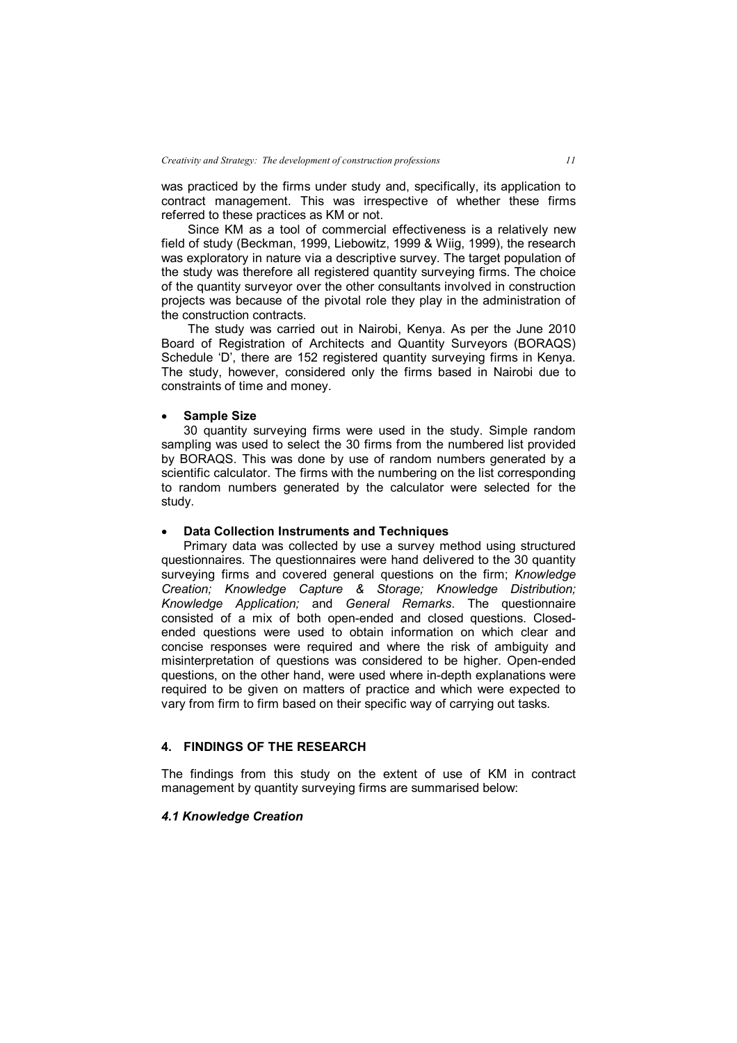was practiced by the firms under study and, specifically, its application to contract management. This was irrespective of whether these firms referred to these practices as KM or not.

Since KM as a tool of commercial effectiveness is a relatively new field of study (Beckman, 1999, Liebowitz, 1999 & Wiig, 1999), the research was exploratory in nature via a descriptive survey. The target population of the study was therefore all registered quantity surveying firms. The choice of the quantity surveyor over the other consultants involved in construction projects was because of the pivotal role they play in the administration of the construction contracts.

The study was carried out in Nairobi, Kenya. As per the June 2010 Board of Registration of Architects and Quantity Surveyors (BORAQS) Schedule 'D', there are 152 registered quantity surveying firms in Kenya. The study, however, considered only the firms based in Nairobi due to constraints of time and money.

### **Sample Size**

30 quantity surveying firms were used in the study. Simple random sampling was used to select the 30 firms from the numbered list provided by BORAQS. This was done by use of random numbers generated by a scientific calculator. The firms with the numbering on the list corresponding to random numbers generated by the calculator were selected for the study.

#### **Data Collection Instruments and Techniques**

Primary data was collected by use a survey method using structured questionnaires. The questionnaires were hand delivered to the 30 quantity surveying firms and covered general questions on the firm; *Knowledge Creation; Knowledge Capture & Storage; Knowledge Distribution; Knowledge Application;* and *General Remarks*. The questionnaire consisted of a mix of both open-ended and closed questions. Closedended questions were used to obtain information on which clear and concise responses were required and where the risk of ambiguity and misinterpretation of questions was considered to be higher. Open-ended questions, on the other hand, were used where in-depth explanations were required to be given on matters of practice and which were expected to vary from firm to firm based on their specific way of carrying out tasks.

## **4. FINDINGS OF THE RESEARCH**

The findings from this study on the extent of use of KM in contract management by quantity surveying firms are summarised below:

#### *4.1 Knowledge Creation*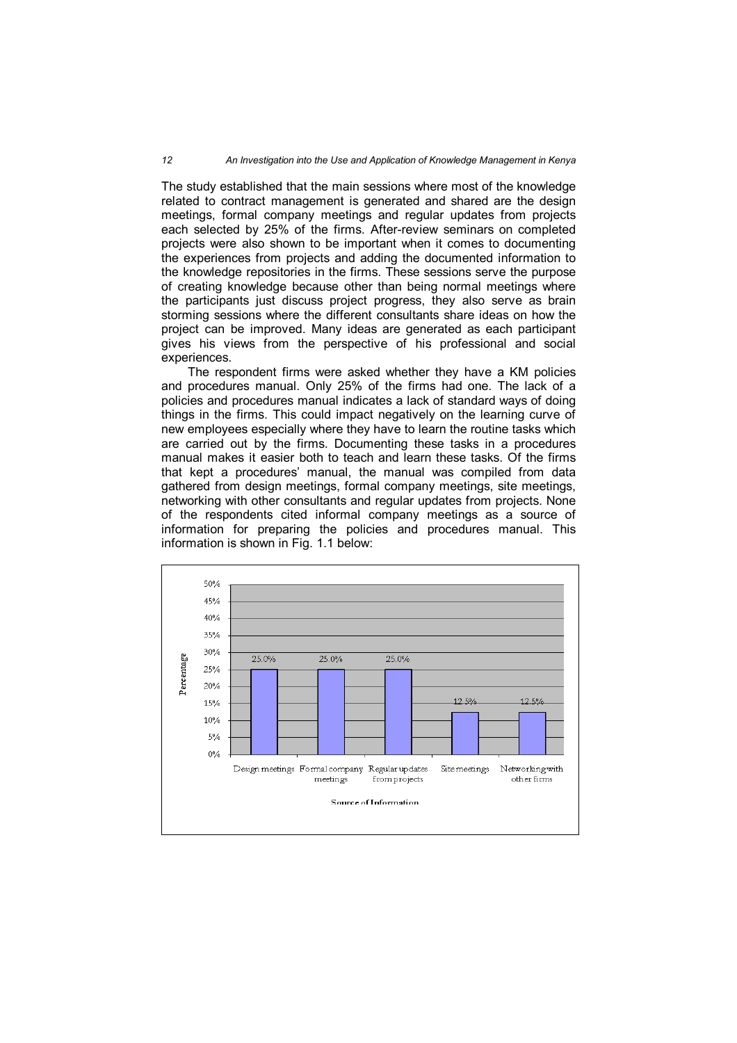#### *12 An Investigation into the Use and Application of Knowledge Management in Kenya*

The study established that the main sessions where most of the knowledge related to contract management is generated and shared are the design meetings, formal company meetings and regular updates from projects each selected by 25% of the firms. After-review seminars on completed projects were also shown to be important when it comes to documenting the experiences from projects and adding the documented information to the knowledge repositories in the firms. These sessions serve the purpose of creating knowledge because other than being normal meetings where the participants just discuss project progress, they also serve as brain storming sessions where the different consultants share ideas on how the project can be improved. Many ideas are generated as each participant gives his views from the perspective of his professional and social experiences.

The respondent firms were asked whether they have a KM policies and procedures manual. Only 25% of the firms had one. The lack of a policies and procedures manual indicates a lack of standard ways of doing things in the firms. This could impact negatively on the learning curve of new employees especially where they have to learn the routine tasks which are carried out by the firms. Documenting these tasks in a procedures manual makes it easier both to teach and learn these tasks. Of the firms that kept a procedures' manual, the manual was compiled from data gathered from design meetings, formal company meetings, site meetings, networking with other consultants and regular updates from projects. None of the respondents cited informal company meetings as a source of information for preparing the policies and procedures manual. This information is shown in Fig. 1.1 below:

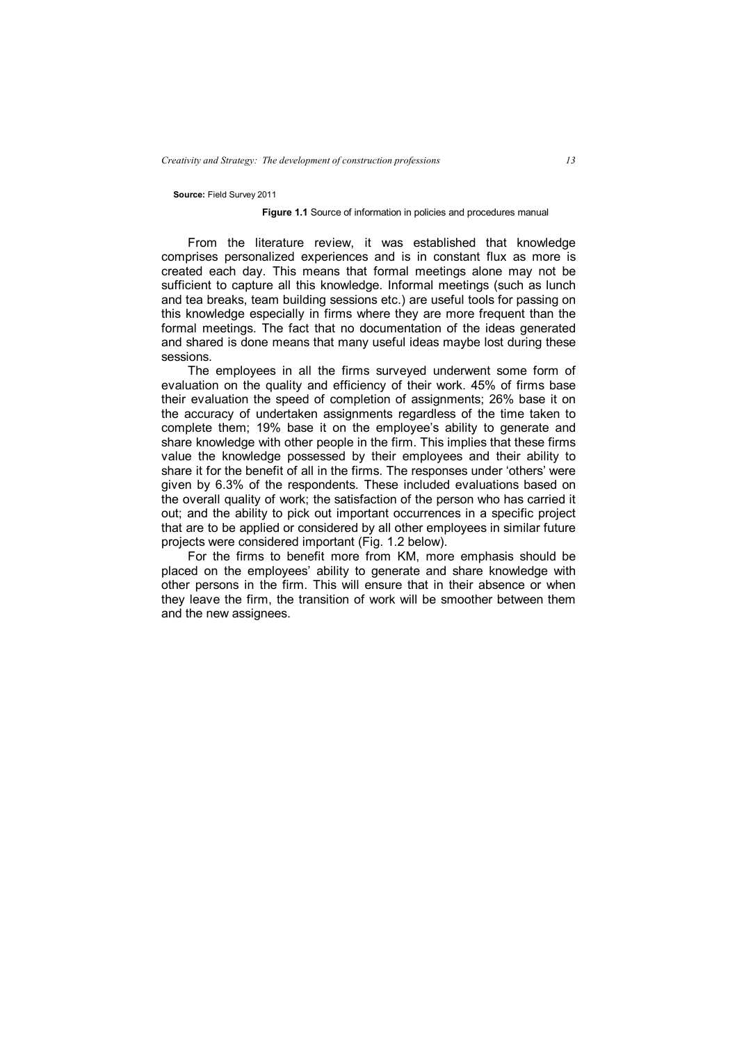#### **Source:** Field Survey 2011

#### **Figure 1.1** Source of information in policies and procedures manual

From the literature review, it was established that knowledge comprises personalized experiences and is in constant flux as more is created each day. This means that formal meetings alone may not be sufficient to capture all this knowledge. Informal meetings (such as lunch and tea breaks, team building sessions etc.) are useful tools for passing on this knowledge especially in firms where they are more frequent than the formal meetings. The fact that no documentation of the ideas generated and shared is done means that many useful ideas maybe lost during these sessions.

The employees in all the firms surveyed underwent some form of evaluation on the quality and efficiency of their work. 45% of firms base their evaluation the speed of completion of assignments; 26% base it on the accuracy of undertaken assignments regardless of the time taken to complete them; 19% base it on the employee's ability to generate and share knowledge with other people in the firm. This implies that these firms value the knowledge possessed by their employees and their ability to share it for the benefit of all in the firms. The responses under 'others' were given by 6.3% of the respondents. These included evaluations based on the overall quality of work; the satisfaction of the person who has carried it out; and the ability to pick out important occurrences in a specific project that are to be applied or considered by all other employees in similar future projects were considered important (Fig. 1.2 below).

For the firms to benefit more from KM, more emphasis should be placed on the employees' ability to generate and share knowledge with other persons in the firm. This will ensure that in their absence or when they leave the firm, the transition of work will be smoother between them and the new assignees.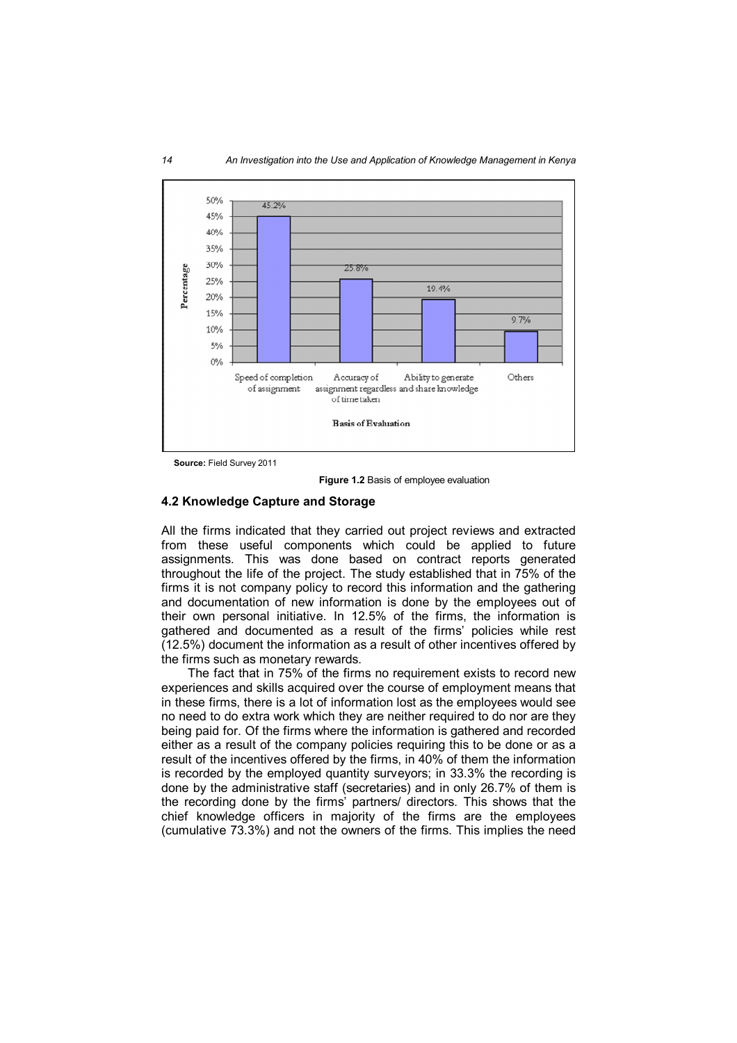

**Source:** Field Survey 2011

**Figure 1.2** Basis of employee evaluation

# **4.2 Knowledge Capture and Storage**

All the firms indicated that they carried out project reviews and extracted from these useful components which could be applied to future assignments. This was done based on contract reports generated throughout the life of the project. The study established that in 75% of the firms it is not company policy to record this information and the gathering and documentation of new information is done by the employees out of their own personal initiative. In 12.5% of the firms, the information is gathered and documented as a result of the firms' policies while rest (12.5%) document the information as a result of other incentives offered by the firms such as monetary rewards.

The fact that in 75% of the firms no requirement exists to record new experiences and skills acquired over the course of employment means that in these firms, there is a lot of information lost as the employees would see no need to do extra work which they are neither required to do nor are they being paid for. Of the firms where the information is gathered and recorded either as a result of the company policies requiring this to be done or as a result of the incentives offered by the firms, in 40% of them the information is recorded by the employed quantity surveyors; in 33.3% the recording is done by the administrative staff (secretaries) and in only 26.7% of them is the recording done by the firms' partners/ directors. This shows that the chief knowledge officers in majority of the firms are the employees (cumulative 73.3%) and not the owners of the firms. This implies the need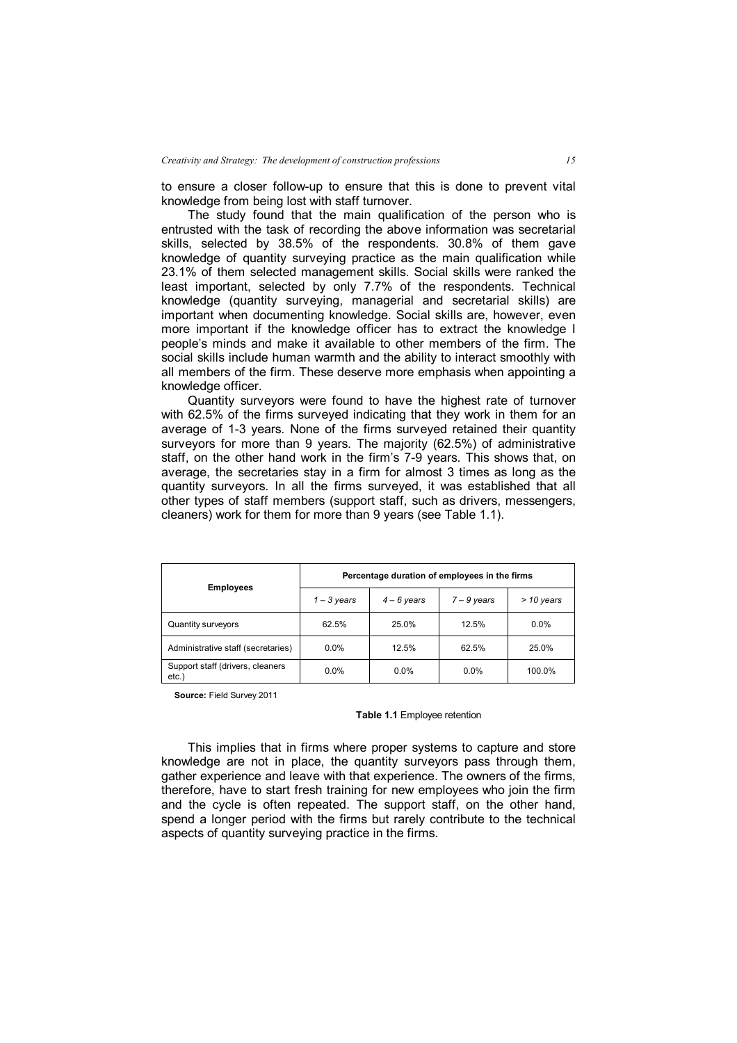to ensure a closer follow-up to ensure that this is done to prevent vital knowledge from being lost with staff turnover.

The study found that the main qualification of the person who is entrusted with the task of recording the above information was secretarial skills, selected by 38.5% of the respondents. 30.8% of them gave knowledge of quantity surveying practice as the main qualification while 23.1% of them selected management skills. Social skills were ranked the least important, selected by only 7.7% of the respondents. Technical knowledge (quantity surveying, managerial and secretarial skills) are important when documenting knowledge. Social skills are, however, even more important if the knowledge officer has to extract the knowledge I people's minds and make it available to other members of the firm. The social skills include human warmth and the ability to interact smoothly with all members of the firm. These deserve more emphasis when appointing a knowledge officer.

Quantity surveyors were found to have the highest rate of turnover with 62.5% of the firms surveyed indicating that they work in them for an average of 1-3 years. None of the firms surveyed retained their quantity surveyors for more than 9 years. The majority (62.5%) of administrative staff, on the other hand work in the firm's 7-9 years. This shows that, on average, the secretaries stay in a firm for almost 3 times as long as the quantity surveyors. In all the firms surveyed, it was established that all other types of staff members (support staff, such as drivers, messengers, cleaners) work for them for more than 9 years (see Table 1.1).

| <b>Employees</b>                         | Percentage duration of employees in the firms |               |               |              |
|------------------------------------------|-----------------------------------------------|---------------|---------------|--------------|
|                                          | $1 - 3$ years                                 | $4 - 6$ years | $7 - 9$ years | $>$ 10 years |
| Quantity surveyors                       | 62.5%                                         | 25.0%         | 12.5%         | $0.0\%$      |
| Administrative staff (secretaries)       | $0.0\%$                                       | 12.5%         | 62.5%         | 25.0%        |
| Support staff (drivers, cleaners<br>etc. | $0.0\%$                                       | $0.0\%$       | 0.0%          | 100.0%       |

**Source:** Field Survey 2011

#### **Table 1.1** Employee retention

This implies that in firms where proper systems to capture and store knowledge are not in place, the quantity surveyors pass through them, gather experience and leave with that experience. The owners of the firms, therefore, have to start fresh training for new employees who join the firm and the cycle is often repeated. The support staff, on the other hand, spend a longer period with the firms but rarely contribute to the technical aspects of quantity surveying practice in the firms.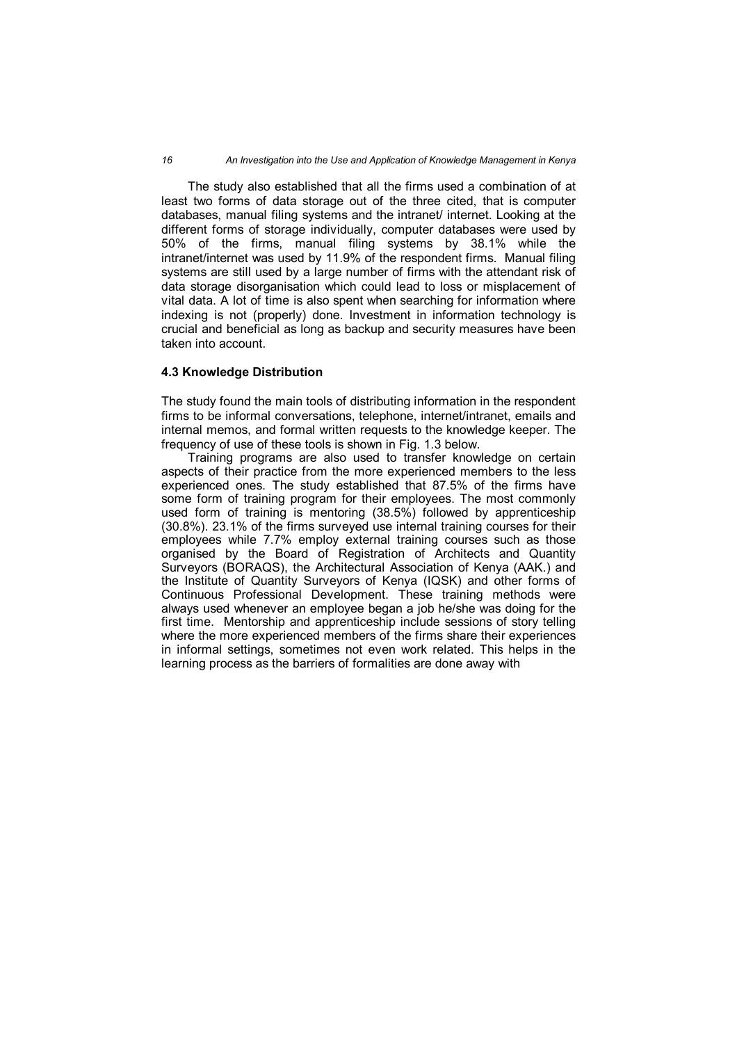*16 An Investigation into the Use and Application of Knowledge Management in Kenya*

The study also established that all the firms used a combination of at least two forms of data storage out of the three cited, that is computer databases, manual filing systems and the intranet/ internet. Looking at the different forms of storage individually, computer databases were used by 50% of the firms, manual filing systems by 38.1% while the intranet/internet was used by 11.9% of the respondent firms. Manual filing systems are still used by a large number of firms with the attendant risk of data storage disorganisation which could lead to loss or misplacement of vital data. A lot of time is also spent when searching for information where indexing is not (properly) done. Investment in information technology is crucial and beneficial as long as backup and security measures have been taken into account.

# **4.3 Knowledge Distribution**

The study found the main tools of distributing information in the respondent firms to be informal conversations, telephone, internet/intranet, emails and internal memos, and formal written requests to the knowledge keeper. The frequency of use of these tools is shown in Fig. 1.3 below.

Training programs are also used to transfer knowledge on certain aspects of their practice from the more experienced members to the less experienced ones. The study established that 87.5% of the firms have some form of training program for their employees. The most commonly used form of training is mentoring (38.5%) followed by apprenticeship (30.8%). 23.1% of the firms surveyed use internal training courses for their employees while 7.7% employ external training courses such as those organised by the Board of Registration of Architects and Quantity Surveyors (BORAQS), the Architectural Association of Kenya (AAK.) and the Institute of Quantity Surveyors of Kenya (IQSK) and other forms of Continuous Professional Development. These training methods were always used whenever an employee began a job he/she was doing for the first time. Mentorship and apprenticeship include sessions of story telling where the more experienced members of the firms share their experiences in informal settings, sometimes not even work related. This helps in the learning process as the barriers of formalities are done away with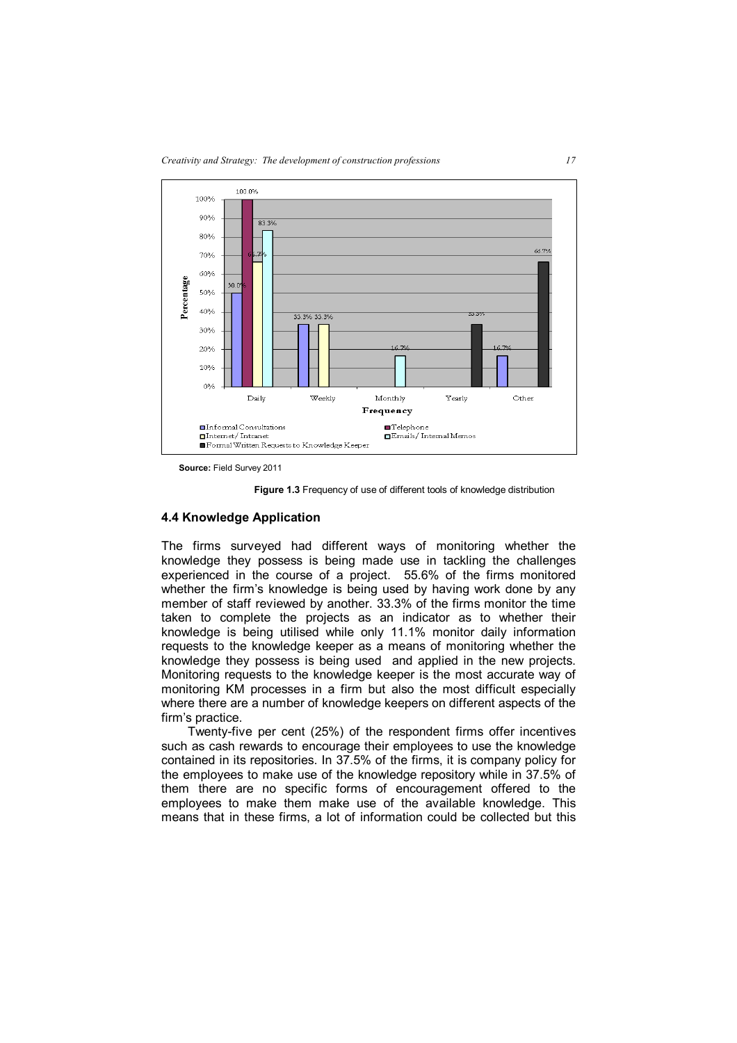

**Source:** Field Survey 2011

**Figure 1.3** Frequency of use of different tools of knowledge distribution

#### **4.4 Knowledge Application**

The firms surveyed had different ways of monitoring whether the knowledge they possess is being made use in tackling the challenges experienced in the course of a project. 55.6% of the firms monitored whether the firm's knowledge is being used by having work done by any member of staff reviewed by another. 33.3% of the firms monitor the time taken to complete the projects as an indicator as to whether their knowledge is being utilised while only 11.1% monitor daily information requests to the knowledge keeper as a means of monitoring whether the knowledge they possess is being used and applied in the new projects. Monitoring requests to the knowledge keeper is the most accurate way of monitoring KM processes in a firm but also the most difficult especially where there are a number of knowledge keepers on different aspects of the firm's practice.

Twenty-five per cent (25%) of the respondent firms offer incentives such as cash rewards to encourage their employees to use the knowledge contained in its repositories. In 37.5% of the firms, it is company policy for the employees to make use of the knowledge repository while in 37.5% of them there are no specific forms of encouragement offered to the employees to make them make use of the available knowledge. This means that in these firms, a lot of information could be collected but this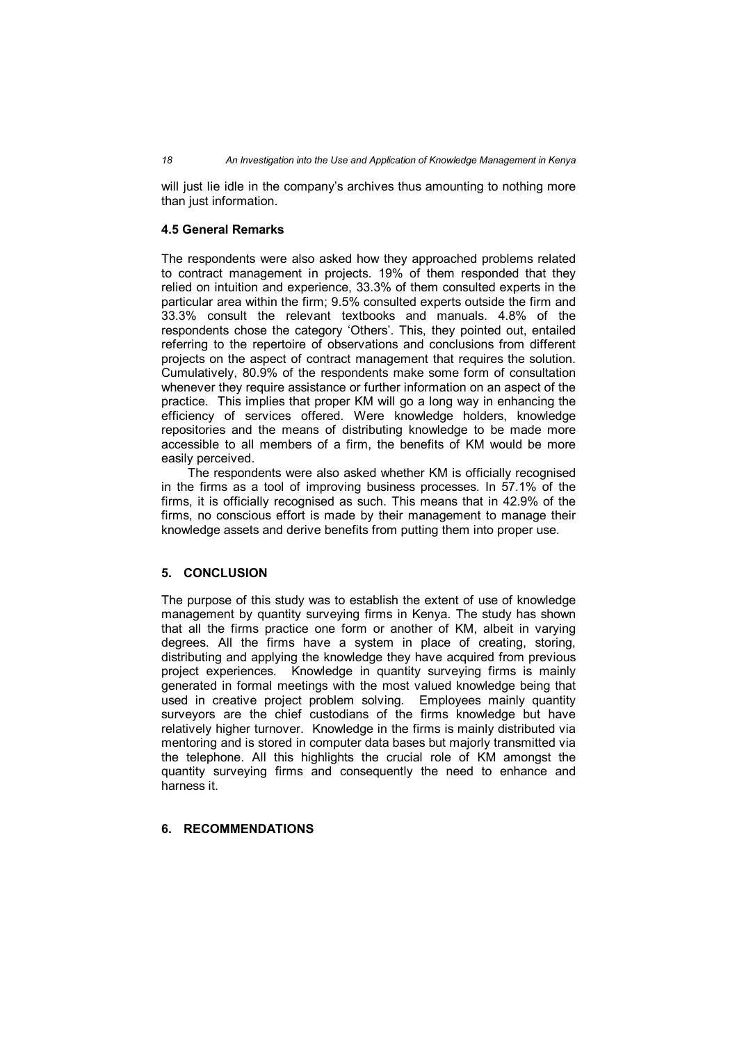will just lie idle in the company's archives thus amounting to nothing more than just information.

## **4.5 General Remarks**

The respondents were also asked how they approached problems related to contract management in projects. 19% of them responded that they relied on intuition and experience, 33.3% of them consulted experts in the particular area within the firm; 9.5% consulted experts outside the firm and 33.3% consult the relevant textbooks and manuals. 4.8% of the respondents chose the category 'Others'. This, they pointed out, entailed referring to the repertoire of observations and conclusions from different projects on the aspect of contract management that requires the solution. Cumulatively, 80.9% of the respondents make some form of consultation whenever they require assistance or further information on an aspect of the practice. This implies that proper KM will go a long way in enhancing the efficiency of services offered. Were knowledge holders, knowledge repositories and the means of distributing knowledge to be made more accessible to all members of a firm, the benefits of KM would be more easily perceived.

The respondents were also asked whether KM is officially recognised in the firms as a tool of improving business processes. In 57.1% of the firms, it is officially recognised as such. This means that in 42.9% of the firms, no conscious effort is made by their management to manage their knowledge assets and derive benefits from putting them into proper use.

### **5. CONCLUSION**

The purpose of this study was to establish the extent of use of knowledge management by quantity surveying firms in Kenya. The study has shown that all the firms practice one form or another of KM, albeit in varying degrees. All the firms have a system in place of creating, storing, distributing and applying the knowledge they have acquired from previous project experiences. Knowledge in quantity surveying firms is mainly generated in formal meetings with the most valued knowledge being that used in creative project problem solving. Employees mainly quantity surveyors are the chief custodians of the firms knowledge but have relatively higher turnover. Knowledge in the firms is mainly distributed via mentoring and is stored in computer data bases but majorly transmitted via the telephone. All this highlights the crucial role of KM amongst the quantity surveying firms and consequently the need to enhance and harness it.

# **6. RECOMMENDATIONS**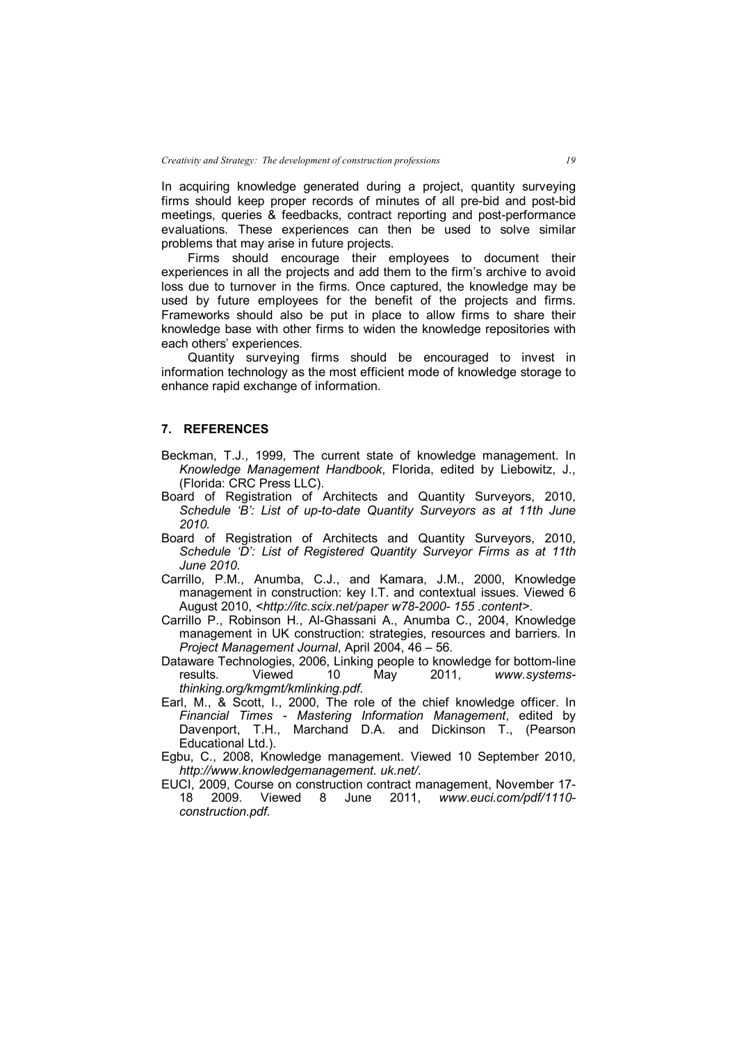In acquiring knowledge generated during a project, quantity surveying firms should keep proper records of minutes of all pre-bid and post-bid meetings, queries & feedbacks, contract reporting and post-performance evaluations. These experiences can then be used to solve similar problems that may arise in future projects.

Firms should encourage their employees to document their experiences in all the projects and add them to the firm's archive to avoid loss due to turnover in the firms. Once captured, the knowledge may be used by future employees for the benefit of the projects and firms. Frameworks should also be put in place to allow firms to share their knowledge base with other firms to widen the knowledge repositories with each others' experiences.

Quantity surveying firms should be encouraged to invest in information technology as the most efficient mode of knowledge storage to enhance rapid exchange of information.

### **7. REFERENCES**

- Beckman, T.J., 1999, The current state of knowledge management. In *Knowledge Management Handbook*, Florida, edited by Liebowitz, J., (Florida: CRC Press LLC).
- Board of Registration of Architects and Quantity Surveyors, 2010, *Schedule 'B': List of up-to-date Quantity Surveyors as at 11th June 2010.*
- Board of Registration of Architects and Quantity Surveyors, 2010, *Schedule 'D': List of Registered Quantity Surveyor Firms as at 11th June 2010.*
- Carrillo, P.M., Anumba, C.J., and Kamara, J.M., 2000, Knowledge management in construction: key I.T. and contextual issues. Viewed 6 August 2010, *<http://itc.scix.net/paper w78-2000- 155 .content>*.
- Carrillo P., Robinson H., Al-Ghassani A., Anumba C., 2004, Knowledge management in UK construction: strategies, resources and barriers. In *Project Management Journal*, April 2004, 46 – 56.
- Dataware Technologies, 2006, Linking people to knowledge for bottom-line<br>results. Viewed 10 May 2011. www.systems-Viewed 10 May 2011, *www.systemsthinking.org/kmgmt/kmlinking.pdf.*
- Earl, M., & Scott, I., 2000, The role of the chief knowledge officer. In *Financial Times - Mastering Information Management*, edited by Davenport, T.H., Marchand D.A. and Dickinson T., (Pearson Educational Ltd.).
- Egbu, C., 2008, Knowledge management. Viewed 10 September 2010, *http://www.knowledgemanagement. uk.net/.*
- EUCI, 2009, Course on construction contract management, November 17- 18 2009. Viewed 8 June 2011, *www.euci.com/pdf/1110 construction.pdf.*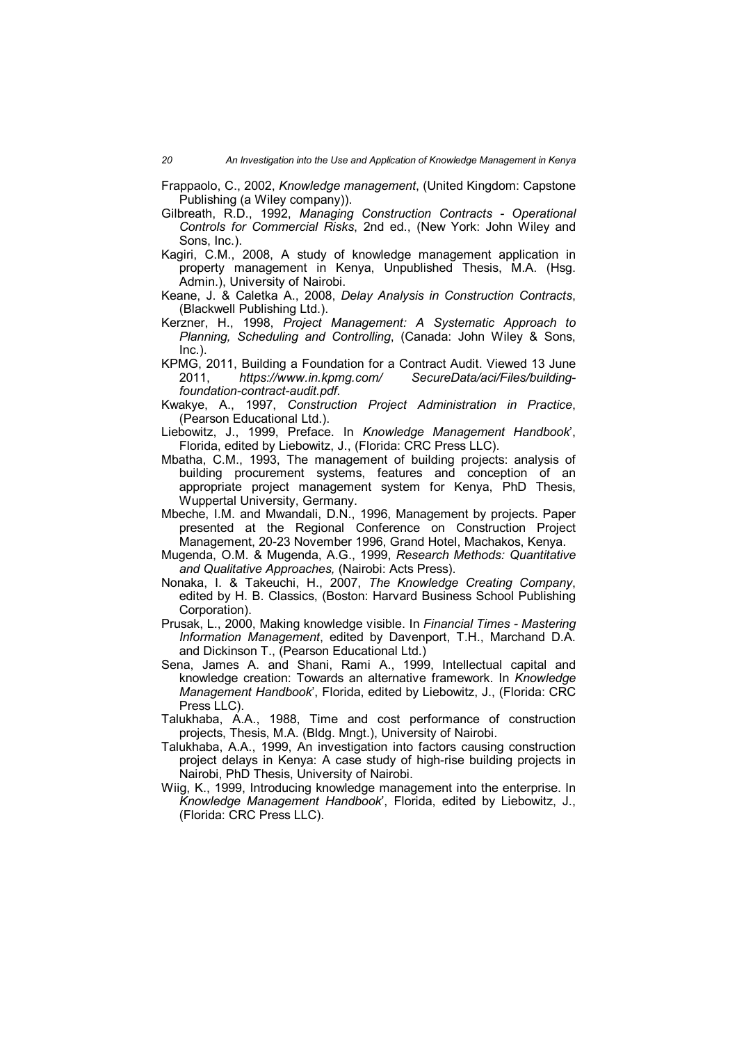Frappaolo, C., 2002, *Knowledge management*, (United Kingdom: Capstone Publishing (a Wiley company)).

- Gilbreath, R.D., 1992, *Managing Construction Contracts - Operational Controls for Commercial Risks*, 2nd ed., (New York: John Wiley and Sons, Inc.).
- Kagiri, C.M., 2008, A study of knowledge management application in property management in Kenya, Unpublished Thesis, M.A. (Hsg. Admin.), University of Nairobi.
- Keane, J. & Caletka A., 2008, *Delay Analysis in Construction Contracts*, (Blackwell Publishing Ltd.).
- Kerzner, H., 1998, *Project Management: A Systematic Approach to Planning, Scheduling and Controlling*, (Canada: John Wiley & Sons, Inc.).
- KPMG, 2011, Building a Foundation for a Contract Audit. Viewed 13 June 2011, *https://www.in.kpmg.com/ SecureData/aci/Files/buildingfoundation-contract-audit.pdf.*
- Kwakye, A., 1997, *Construction Project Administration in Practice*, (Pearson Educational Ltd.).
- Liebowitz, J., 1999, Preface. In *Knowledge Management Handbook*', Florida, edited by Liebowitz, J., (Florida: CRC Press LLC).
- Mbatha, C.M., 1993, The management of building projects: analysis of building procurement systems, features and conception of an appropriate project management system for Kenya, PhD Thesis, Wuppertal University, Germany.
- Mbeche, I.M. and Mwandali, D.N., 1996, Management by projects. Paper presented at the Regional Conference on Construction Project Management, 20-23 November 1996, Grand Hotel, Machakos, Kenya.
- Mugenda, O.M. & Mugenda, A.G., 1999, *Research Methods: Quantitative and Qualitative Approaches,* (Nairobi: Acts Press).
- Nonaka, I. & Takeuchi, H., 2007, *The Knowledge Creating Company*, edited by H. B. Classics, (Boston: Harvard Business School Publishing Corporation).
- Prusak, L., 2000, Making knowledge visible. In *Financial Times - Mastering Information Management*, edited by Davenport, T.H., Marchand D.A. and Dickinson T., (Pearson Educational Ltd.)
- Sena, James A. and Shani, Rami A., 1999, Intellectual capital and knowledge creation: Towards an alternative framework. In *Knowledge Management Handbook*', Florida, edited by Liebowitz, J., (Florida: CRC Press LLC).
- Talukhaba, A.A., 1988, Time and cost performance of construction projects, Thesis, M.A. (Bldg. Mngt.), University of Nairobi.
- Talukhaba, A.A., 1999, An investigation into factors causing construction project delays in Kenya: A case study of high-rise building projects in Nairobi, PhD Thesis, University of Nairobi.
- Wiig, K., 1999, Introducing knowledge management into the enterprise. In *Knowledge Management Handbook*', Florida, edited by Liebowitz, J., (Florida: CRC Press LLC).